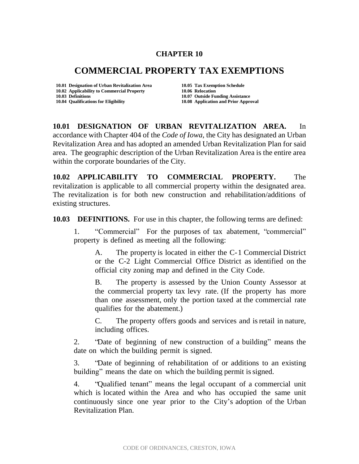## **CHAPTER 10**

## **COMMERCIAL PROPERTY TAX EXEMPTIONS**

**10.01 Designation of Urban Revitalization Area 10.05 Tax Exemption Schedule 10.02 Applicability to Commercial Property 10.06 Relocation 10.04 Qualifications for Eligibility 10.08 Application and Prior Approval**

**10.03 Definitions 10.07 Outside Funding Assistance**

**10.01 DESIGNATION OF URBAN REVITALIZATION AREA.** In accordance with Chapter 404 of the *Code of Iowa*, the City has designated an Urban Revitalization Area and has adopted an amended Urban Revitalization Plan for said area. The geographic description of the Urban Revitalization Area is the entire area within the corporate boundaries of the City.

**10.02 APPLICABILITY TO COMMERCIAL PROPERTY.** The revitalization is applicable to all commercial property within the designated area. The revitalization is for both new construction and rehabilitation/additions of existing structures.

**10.03 DEFINITIONS.** For use in this chapter, the following terms are defined:

1. "Commercial" For the purposes of tax abatement, "commercial" property is defined as meeting all the following:

A. The property is located in either the C-1 Commercial District or the C-2 Light Commercial Office District as identified on the official city zoning map and defined in the City Code.

B. The property is assessed by the Union County Assessor at the commercial property tax levy rate. (If the property has more than one assessment, only the portion taxed at the commercial rate qualifies for the abatement.)

C. The property offers goods and services and isretail in nature, including offices.

2. "Date of beginning of new construction of a building" means the date on which the building permit is signed.

3. "Date of beginning of rehabilitation of or additions to an existing building" means the date on which the building permit is signed.

4. "Qualified tenant" means the legal occupant of a commercial unit which is located within the Area and who has occupied the same unit continuously since one year prior to the City's adoption of the Urban Revitalization Plan.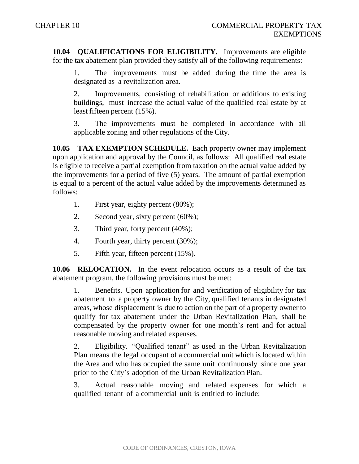**10.04 QUALIFICATIONS FOR ELIGIBILITY.** Improvements are eligible for the tax abatement plan provided they satisfy all of the following requirements:

The improvements must be added during the time the area is designated as a revitalization area.

2. Improvements, consisting of rehabilitation or additions to existing buildings, must increase the actual value of the qualified real estate by at least fifteen percent (15%).

3. The improvements must be completed in accordance with all applicable zoning and other regulations of the City.

**10.05 TAX EXEMPTION SCHEDULE.** Each property owner may implement upon application and approval by the Council, as follows: All qualified real estate is eligible to receive a partial exemption from taxation on the actual value added by the improvements for a period of five (5) years. The amount of partial exemption is equal to a percent of the actual value added by the improvements determined as follows:

- 1. First year, eighty percent (80%);
- 2. Second year, sixty percent (60%);
- 3. Third year, forty percent (40%);
- 4. Fourth year, thirty percent (30%);
- 5. Fifth year, fifteen percent (15%).

**10.06 RELOCATION.** In the event relocation occurs as a result of the tax abatement program, the following provisions must be met:

1. Benefits. Upon application for and verification of eligibility for tax abatement to a property owner by the City, qualified tenants in designated areas, whose displacement is due to action on the part of a property owner to qualify for tax abatement under the Urban Revitalization Plan, shall be compensated by the property owner for one month's rent and for actual reasonable moving and related expenses.

2. Eligibility. "Qualified tenant" as used in the Urban Revitalization Plan means the legal occupant of a commercial unit which is located within the Area and who has occupied the same unit continuously since one year prior to the City's adoption of the Urban Revitalization Plan.

3. Actual reasonable moving and related expenses for which a qualified tenant of a commercial unit is entitled to include: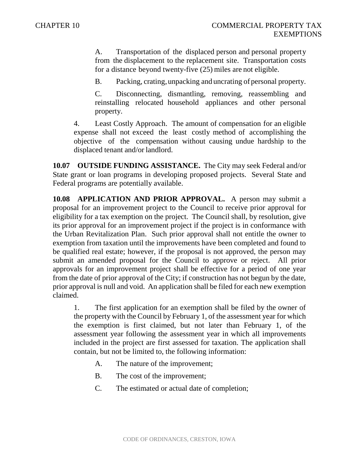A. Transportation of the displaced person and personal property from the displacement to the replacement site. Transportation costs for a distance beyond twenty-five (25) miles are not eligible.

B. Packing, crating,unpacking and uncrating of personal property.

C. Disconnecting, dismantling, removing, reassembling and reinstalling relocated household appliances and other personal property.

4. Least Costly Approach. The amount of compensation for an eligible expense shall not exceed the least costly method of accomplishing the objective of the compensation without causing undue hardship to the displaced tenant and/or landlord.

**10.07 OUTSIDE FUNDING ASSISTANCE.** The City may seek Federal and/or State grant or loan programs in developing proposed projects. Several State and Federal programs are potentially available.

**10.08 APPLICATION AND PRIOR APPROVAL.** A person may submit a proposal for an improvement project to the Council to receive prior approval for eligibility for a tax exemption on the project. The Council shall, by resolution, give its prior approval for an improvement project if the project is in conformance with the Urban Revitalization Plan. Such prior approval shall not entitle the owner to exemption from taxation until the improvements have been completed and found to be qualified real estate; however, if the proposal is not approved, the person may submit an amended proposal for the Council to approve or reject. All prior approvals for an improvement project shall be effective for a period of one year from the date of prior approval of the City; if construction has not begun by the date, prior approval is null and void. An application shall be filed for each new exemption claimed.

1. The first application for an exemption shall be filed by the owner of the property with the Council by February 1, of the assessment year for which the exemption is first claimed, but not later than February 1, of the assessment year following the assessment year in which all improvements included in the project are first assessed for taxation. The application shall contain, but not be limited to, the following information:

- A. The nature of the improvement;
- B. The cost of the improvement;
- C. The estimated or actual date of completion;